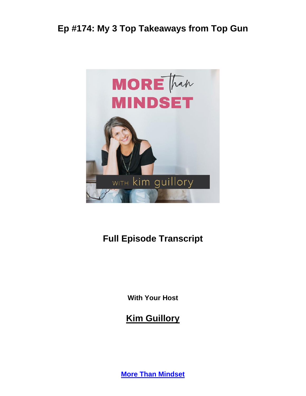

# **Full Episode Transcript**

**With Your Host**

**Kim Guillory**

**[More Than Mindset](https://kimguillory.com/podcast)**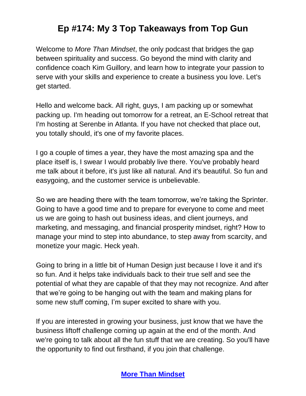Welcome to *More Than Mindset*, the only podcast that bridges the gap between spirituality and success. Go beyond the mind with clarity and confidence coach Kim Guillory, and learn how to integrate your passion to serve with your skills and experience to create a business you love. Let's get started.

Hello and welcome back. All right, guys, I am packing up or somewhat packing up. I'm heading out tomorrow for a retreat, an E-School retreat that I'm hosting at Serenbe in Atlanta. If you have not checked that place out, you totally should, it's one of my favorite places.

I go a couple of times a year, they have the most amazing spa and the place itself is, I swear I would probably live there. You've probably heard me talk about it before, it's just like all natural. And it's beautiful. So fun and easygoing, and the customer service is unbelievable.

So we are heading there with the team tomorrow, we're taking the Sprinter. Going to have a good time and to prepare for everyone to come and meet us we are going to hash out business ideas, and client journeys, and marketing, and messaging, and financial prosperity mindset, right? How to manage your mind to step into abundance, to step away from scarcity, and monetize your magic. Heck yeah.

Going to bring in a little bit of Human Design just because I love it and it's so fun. And it helps take individuals back to their true self and see the potential of what they are capable of that they may not recognize. And after that we're going to be hanging out with the team and making plans for some new stuff coming, I'm super excited to share with you.

If you are interested in growing your business, just know that we have the business liftoff challenge coming up again at the end of the month. And we're going to talk about all the fun stuff that we are creating. So you'll have the opportunity to find out firsthand, if you join that challenge.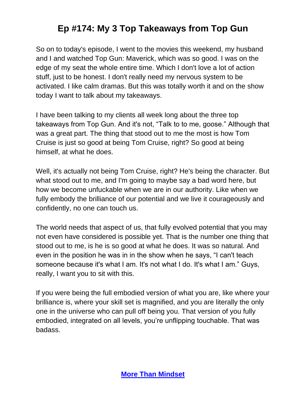So on to today's episode, I went to the movies this weekend, my husband and I and watched Top Gun: Maverick, which was so good. I was on the edge of my seat the whole entire time. Which I don't love a lot of action stuff, just to be honest. I don't really need my nervous system to be activated. I like calm dramas. But this was totally worth it and on the show today I want to talk about my takeaways.

I have been talking to my clients all week long about the three top takeaways from Top Gun. And it's not, "Talk to to me, goose." Although that was a great part. The thing that stood out to me the most is how Tom Cruise is just so good at being Tom Cruise, right? So good at being himself, at what he does.

Well, it's actually not being Tom Cruise, right? He's being the character. But what stood out to me, and I'm going to maybe say a bad word here, but how we become unfuckable when we are in our authority. Like when we fully embody the brilliance of our potential and we live it courageously and confidently, no one can touch us.

The world needs that aspect of us, that fully evolved potential that you may not even have considered is possible yet. That is the number one thing that stood out to me, is he is so good at what he does. It was so natural. And even in the position he was in in the show when he says, "I can't teach someone because it's what I am. It's not what I do. It's what I am." Guys, really, I want you to sit with this.

If you were being the full embodied version of what you are, like where your brilliance is, where your skill set is magnified, and you are literally the only one in the universe who can pull off being you. That version of you fully embodied, integrated on all levels, you're unflipping touchable. That was badass.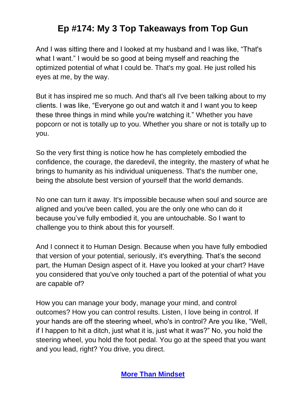And I was sitting there and I looked at my husband and I was like, "That's what I want." I would be so good at being myself and reaching the optimized potential of what I could be. That's my goal. He just rolled his eyes at me, by the way.

But it has inspired me so much. And that's all I've been talking about to my clients. I was like, "Everyone go out and watch it and I want you to keep these three things in mind while you're watching it." Whether you have popcorn or not is totally up to you. Whether you share or not is totally up to you.

So the very first thing is notice how he has completely embodied the confidence, the courage, the daredevil, the integrity, the mastery of what he brings to humanity as his individual uniqueness. That's the number one, being the absolute best version of yourself that the world demands.

No one can turn it away. It's impossible because when soul and source are aligned and you've been called, you are the only one who can do it because you've fully embodied it, you are untouchable. So I want to challenge you to think about this for yourself.

And I connect it to Human Design. Because when you have fully embodied that version of your potential, seriously, it's everything. That's the second part, the Human Design aspect of it. Have you looked at your chart? Have you considered that you've only touched a part of the potential of what you are capable of?

How you can manage your body, manage your mind, and control outcomes? How you can control results. Listen, I love being in control. If your hands are off the steering wheel, who's in control? Are you like, "Well, if I happen to hit a ditch, just what it is, just what it was?" No, you hold the steering wheel, you hold the foot pedal. You go at the speed that you want and you lead, right? You drive, you direct.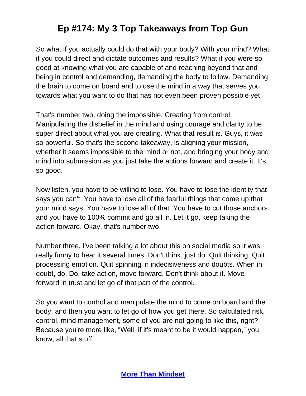So what if you actually could do that with your body? With your mind? What if you could direct and dictate outcomes and results? What if you were so good at knowing what you are capable of and reaching beyond that and being in control and demanding, demanding the body to follow. Demanding the brain to come on board and to use the mind in a way that serves you towards what you want to do that has not even been proven possible yet.

That's number two, doing the impossible. Creating from control. Manipulating the disbelief in the mind and using courage and clarity to be super direct about what you are creating. What that result is. Guys, it was so powerful. So that's the second takeaway, is aligning your mission, whether it seems impossible to the mind or not, and bringing your body and mind into submission as you just take the actions forward and create it. It's so good.

Now listen, you have to be willing to lose. You have to lose the identity that says you can't. You have to lose all of the fearful things that come up that your mind says. You have to lose all of that. You have to cut those anchors and you have to 100% commit and go all in. Let it go, keep taking the action forward. Okay, that's number two.

Number three, I've been talking a lot about this on social media so it was really funny to hear it several times. Don't think, just do. Quit thinking. Quit processing emotion. Quit spinning in indecisiveness and doubts. When in doubt, do. Do, take action, move forward. Don't think about it. Move forward in trust and let go of that part of the control.

So you want to control and manipulate the mind to come on board and the body, and then you want to let go of how you get there. So calculated risk, control, mind management, some of you are not going to like this, right? Because you're more like, "Well, if it's meant to be it would happen," you know, all that stuff.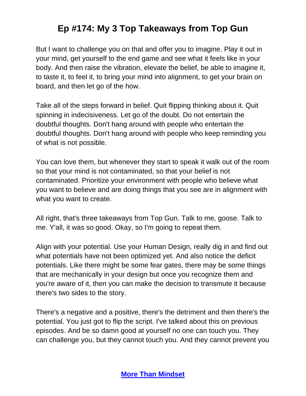But I want to challenge you on that and offer you to imagine. Play it out in your mind, get yourself to the end game and see what it feels like in your body. And then raise the vibration, elevate the belief, be able to imagine it, to taste it, to feel it, to bring your mind into alignment, to get your brain on board, and then let go of the how.

Take all of the steps forward in belief. Quit flipping thinking about it. Quit spinning in indecisiveness. Let go of the doubt. Do not entertain the doubtful thoughts. Don't hang around with people who entertain the doubtful thoughts. Don't hang around with people who keep reminding you of what is not possible.

You can love them, but whenever they start to speak it walk out of the room so that your mind is not contaminated, so that your belief is not contaminated. Prioritize your environment with people who believe what you want to believe and are doing things that you see are in alignment with what you want to create.

All right, that's three takeaways from Top Gun. Talk to me, goose. Talk to me. Y'all, it was so good. Okay, so I'm going to repeat them.

Align with your potential. Use your Human Design, really dig in and find out what potentials have not been optimized yet. And also notice the deficit potentials. Like there might be some fear gates, there may be some things that are mechanically in your design but once you recognize them and you're aware of it, then you can make the decision to transmute it because there's two sides to the story.

There's a negative and a positive, there's the detriment and then there's the potential. You just got to flip the script. I've talked about this on previous episodes. And be so damn good at yourself no one can touch you. They can challenge you, but they cannot touch you. And they cannot prevent you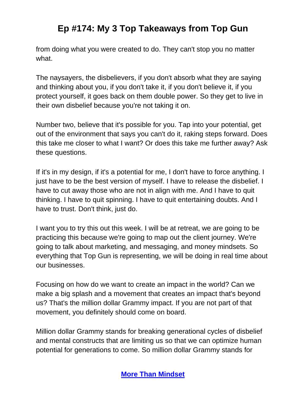from doing what you were created to do. They can't stop you no matter what.

The naysayers, the disbelievers, if you don't absorb what they are saying and thinking about you, if you don't take it, if you don't believe it, if you protect yourself, it goes back on them double power. So they get to live in their own disbelief because you're not taking it on.

Number two, believe that it's possible for you. Tap into your potential, get out of the environment that says you can't do it, raking steps forward. Does this take me closer to what I want? Or does this take me further away? Ask these questions.

If it's in my design, if it's a potential for me, I don't have to force anything. I just have to be the best version of myself. I have to release the disbelief. I have to cut away those who are not in align with me. And I have to quit thinking. I have to quit spinning. I have to quit entertaining doubts. And I have to trust. Don't think, just do.

I want you to try this out this week. I will be at retreat, we are going to be practicing this because we're going to map out the client journey. We're going to talk about marketing, and messaging, and money mindsets. So everything that Top Gun is representing, we will be doing in real time about our businesses.

Focusing on how do we want to create an impact in the world? Can we make a big splash and a movement that creates an impact that's beyond us? That's the million dollar Grammy impact. If you are not part of that movement, you definitely should come on board.

Million dollar Grammy stands for breaking generational cycles of disbelief and mental constructs that are limiting us so that we can optimize human potential for generations to come. So million dollar Grammy stands for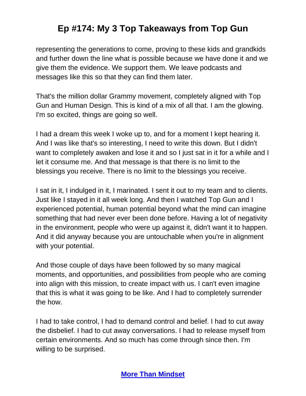representing the generations to come, proving to these kids and grandkids and further down the line what is possible because we have done it and we give them the evidence. We support them. We leave podcasts and messages like this so that they can find them later.

That's the million dollar Grammy movement, completely aligned with Top Gun and Human Design. This is kind of a mix of all that. I am the glowing. I'm so excited, things are going so well.

I had a dream this week I woke up to, and for a moment I kept hearing it. And I was like that's so interesting, I need to write this down. But I didn't want to completely awaken and lose it and so I just sat in it for a while and I let it consume me. And that message is that there is no limit to the blessings you receive. There is no limit to the blessings you receive.

I sat in it, I indulged in it, I marinated. I sent it out to my team and to clients. Just like I stayed in it all week long. And then I watched Top Gun and I experienced potential, human potential beyond what the mind can imagine something that had never ever been done before. Having a lot of negativity in the environment, people who were up against it, didn't want it to happen. And it did anyway because you are untouchable when you're in alignment with your potential.

And those couple of days have been followed by so many magical moments, and opportunities, and possibilities from people who are coming into align with this mission, to create impact with us. I can't even imagine that this is what it was going to be like. And I had to completely surrender the how.

I had to take control, I had to demand control and belief. I had to cut away the disbelief. I had to cut away conversations. I had to release myself from certain environments. And so much has come through since then. I'm willing to be surprised.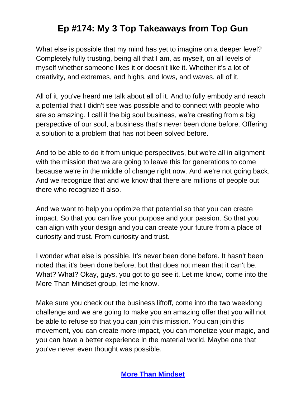What else is possible that my mind has yet to imagine on a deeper level? Completely fully trusting, being all that I am, as myself, on all levels of myself whether someone likes it or doesn't like it. Whether it's a lot of creativity, and extremes, and highs, and lows, and waves, all of it.

All of it, you've heard me talk about all of it. And to fully embody and reach a potential that I didn't see was possible and to connect with people who are so amazing. I call it the big soul business, we're creating from a big perspective of our soul, a business that's never been done before. Offering a solution to a problem that has not been solved before.

And to be able to do it from unique perspectives, but we're all in alignment with the mission that we are going to leave this for generations to come because we're in the middle of change right now. And we're not going back. And we recognize that and we know that there are millions of people out there who recognize it also.

And we want to help you optimize that potential so that you can create impact. So that you can live your purpose and your passion. So that you can align with your design and you can create your future from a place of curiosity and trust. From curiosity and trust.

I wonder what else is possible. It's never been done before. It hasn't been noted that it's been done before, but that does not mean that it can't be. What? What? Okay, guys, you got to go see it. Let me know, come into the More Than Mindset group, let me know.

Make sure you check out the business liftoff, come into the two weeklong challenge and we are going to make you an amazing offer that you will not be able to refuse so that you can join this mission. You can join this movement, you can create more impact, you can monetize your magic, and you can have a better experience in the material world. Maybe one that you've never even thought was possible.